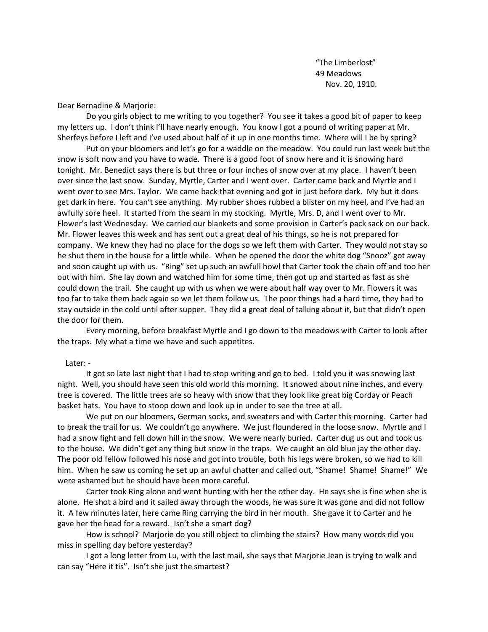"The Limberlost" 49 Meadows Nov. 20, 1910.

Dear Bernadine & Marjorie:

Do you girls object to me writing to you together? You see it takes a good bit of paper to keep my letters up. I don't think I'll have nearly enough. You know I got a pound of writing paper at Mr. Sherfeys before I left and I've used about half of it up in one months time. Where will I be by spring?

Put on your bloomers and let's go for a waddle on the meadow. You could run last week but the snow is soft now and you have to wade. There is a good foot of snow here and it is snowing hard tonight. Mr. Benedict says there is but three or four inches of snow over at my place. I haven't been over since the last snow. Sunday, Myrtle, Carter and I went over. Carter came back and Myrtle and I went over to see Mrs. Taylor. We came back that evening and got in just before dark. My but it does get dark in here. You can't see anything. My rubber shoes rubbed a blister on my heel, and I've had an awfully sore heel. It started from the seam in my stocking. Myrtle, Mrs. D, and I went over to Mr. Flower's last Wednesday. We carried our blankets and some provision in Carter's pack sack on our back. Mr. Flower leaves this week and has sent out a great deal of his things, so he is not prepared for company. We knew they had no place for the dogs so we left them with Carter. They would not stay so he shut them in the house for a little while. When he opened the door the white dog "Snooz" got away and soon caught up with us. "Ring" set up such an awfull howl that Carter took the chain off and too her out with him. She lay down and watched him for some time, then got up and started as fast as she could down the trail. She caught up with us when we were about half way over to Mr. Flowers it was too far to take them back again so we let them follow us. The poor things had a hard time, they had to stay outside in the cold until after supper. They did a great deal of talking about it, but that didn't open the door for them.

Every morning, before breakfast Myrtle and I go down to the meadows with Carter to look after the traps. My what a time we have and such appetites.

## Later: -

It got so late last night that I had to stop writing and go to bed. I told you it was snowing last night. Well, you should have seen this old world this morning. It snowed about nine inches, and every tree is covered. The little trees are so heavy with snow that they look like great big Corday or Peach basket hats. You have to stoop down and look up in under to see the tree at all.

We put on our bloomers, German socks, and sweaters and with Carter this morning. Carter had to break the trail for us. We couldn't go anywhere. We just floundered in the loose snow. Myrtle and I had a snow fight and fell down hill in the snow. We were nearly buried. Carter dug us out and took us to the house. We didn't get any thing but snow in the traps. We caught an old blue jay the other day. The poor old fellow followed his nose and got into trouble, both his legs were broken, so we had to kill him. When he saw us coming he set up an awful chatter and called out, "Shame! Shame! Shame!" We were ashamed but he should have been more careful.

Carter took Ring alone and went hunting with her the other day. He says she is fine when she is alone. He shot a bird and it sailed away through the woods, he was sure it was gone and did not follow it. A few minutes later, here came Ring carrying the bird in her mouth. She gave it to Carter and he gave her the head for a reward. Isn't she a smart dog?

How is school? Marjorie do you still object to climbing the stairs? How many words did you miss in spelling day before yesterday?

I got a long letter from Lu, with the last mail, she says that Marjorie Jean is trying to walk and can say "Here it tis". Isn't she just the smartest?